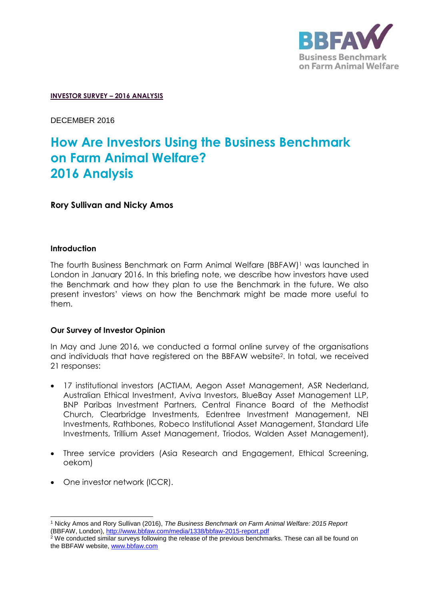

#### **INVESTOR SURVEY – 2016 ANALYSIS**

DECEMBER 2016

# **How Are Investors Using the Business Benchmark on Farm Animal Welfare? 2016 Analysis**

**Rory Sullivan and Nicky Amos** 

## **Introduction**

The fourth Business Benchmark on Farm Animal Welfare (BBFAW)<sup>1</sup> was launched in London in January 2016. In this briefing note, we describe how investors have used the Benchmark and how they plan to use the Benchmark in the future. We also present investors' views on how the Benchmark might be made more useful to them.

## **Our Survey of Investor Opinion**

In May and June 2016, we conducted a formal online survey of the organisations and individuals that have registered on the BBFAW website<sup>2</sup> . In total, we received 21 responses:

- 17 institutional investors (ACTIAM, Aegon Asset Management, ASR Nederland, Australian Ethical Investment, Aviva Investors, BlueBay Asset Management LLP, BNP Paribas Investment Partners, Central Finance Board of the Methodist Church, Clearbridge Investments, Edentree Investment Management, NEI Investments, Rathbones, Robeco Institutional Asset Management, Standard Life Investments, Trillium Asset Management, Triodos, Walden Asset Management),
- Three service providers (Asia Research and Engagement, Ethical Screening, oekom)
- One investor network (ICCR).

 <sup>1</sup> Nicky Amos and Rory Sullivan (2016), *The Business Benchmark on Farm Animal Welfare: 2015 Report*  (BBFAW, London),<http://www.bbfaw.com/media/1338/bbfaw-2015-report.pdf>

<sup>&</sup>lt;sup>2</sup> We conducted similar surveys following the release of the previous benchmarks. These can all be found on the BBFAW website, [www.bbfaw.com](http://www.bbfaw.com/)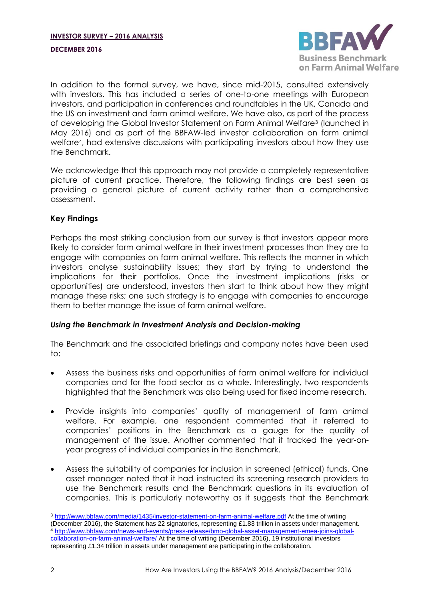#### **DECEMBER 2016**



In addition to the formal survey, we have, since mid-2015, consulted extensively with investors. This has included a series of one-to-one meetings with European investors, and participation in conferences and roundtables in the UK, Canada and the US on investment and farm animal welfare. We have also, as part of the process of developing the Global Investor Statement on Farm Animal Welfare<sup>3</sup> (launched in May 2016) and as part of the BBFAW-led investor collaboration on farm animal welfare<sup>4</sup> , had extensive discussions with participating investors about how they use the Benchmark.

<span id="page-1-0"></span>We acknowledge that this approach may not provide a completely representative picture of current practice. Therefore, the following findings are best seen as providing a general picture of current activity rather than a comprehensive assessment.

# **Key Findings**

Perhaps the most striking conclusion from our survey is that investors appear more likely to consider farm animal welfare in their investment processes than they are to engage with companies on farm animal welfare. This reflects the manner in which investors analyse sustainability issues; they start by trying to understand the implications for their portfolios. Once the investment implications (risks or opportunities) are understood, investors then start to think about how they might manage these risks; one such strategy is to engage with companies to encourage them to better manage the issue of farm animal welfare.

## *Using the Benchmark in Investment Analysis and Decision-making*

The Benchmark and the associated briefings and company notes have been used to:

- Assess the business risks and opportunities of farm animal welfare for individual companies and for the food sector as a whole. Interestingly, two respondents highlighted that the Benchmark was also being used for fixed income research.
- Provide insights into companies' quality of management of farm animal welfare. For example, one respondent commented that it referred to companies' positions in the Benchmark as a gauge for the quality of management of the issue. Another commented that it tracked the year-onyear progress of individual companies in the Benchmark.
- Assess the suitability of companies for inclusion in screened (ethical) funds. One asset manager noted that it had instructed its screening research providers to use the Benchmark results and the Benchmark questions in its evaluation of companies. This is particularly noteworthy as it suggests that the Benchmark

<sup>&</sup>lt;sup>3</sup> <http://www.bbfaw.com/media/1435/investor-statement-on-farm-animal-welfare.pdf> At the time of writing (December 2016), the Statement has 22 signatories, representing £1.83 trillion in assets under management. <sup>4</sup> [http://www.bbfaw.com/news-and-events/press-release/bmo-global-asset-management-emea-joins-global](http://www.bbfaw.com/news-and-events/press-release/bmo-global-asset-management-emea-joins-global-collaboration-on-farm-animal-welfare/)[collaboration-on-farm-animal-welfare/](http://www.bbfaw.com/news-and-events/press-release/bmo-global-asset-management-emea-joins-global-collaboration-on-farm-animal-welfare/) At the time of writing (December 2016), 19 institutional investors representing £1.34 trillion in assets under management are participating in the collaboration.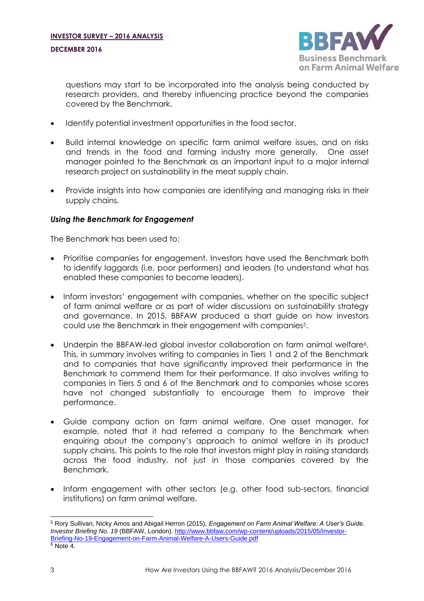

questions may start to be incorporated into the analysis being conducted by research providers, and thereby influencing practice beyond the companies covered by the Benchmark.

- Identify potential investment opportunities in the food sector.
- Build internal knowledge on specific farm animal welfare issues, and on risks and trends in the food and farming industry more generally. One asset manager pointed to the Benchmark as an important input to a major internal research project on sustainability in the meat supply chain.
- Provide insights into how companies are identifying and managing risks in their supply chains.

# *Using the Benchmark for Engagement*

The Benchmark has been used to:

- Prioritise companies for engagement. Investors have used the Benchmark both to identify laggards (i.e. poor performers) and leaders (to understand what has enabled these companies to become leaders).
- Inform investors' engagement with companies, whether on the specific subject of farm animal welfare or as part of wider discussions on sustainability strategy and governance. In 2015, BBFAW produced a short guide on how investors could use the Benchmark in their engagement with companies<sup>5</sup>.
- <span id="page-2-0"></span>• Underpin the BBFAW-led global investor collaboration on farm animal welfare<sup>6</sup>. This, in summary involves writing to companies in Tiers 1 and 2 of the Benchmark and to companies that have significantly improved their performance in the Benchmark to commend them for their performance. It also involves writing to companies in Tiers 5 and 6 of the Benchmark and to companies whose scores have not changed substantially to encourage them to improve their performance.
- Guide company action on farm animal welfare. One asset manager, for example, noted that it had referred a company to the Benchmark when enquiring about the company's approach to animal welfare in its product supply chains. This points to the role that investors might play in raising standards across the food industry, not just in those companies covered by the Benchmark.
- Inform engagement with other sectors (e.g. other food sub-sectors, financial institutions) on farm animal welfare.

 <sup>5</sup> Rory Sullivan, Nicky Amos and Abigail Herron (2015), *Engagement on Farm Animal Welfare: A User's Guide. Investor Briefing No. 19* (BBFAW, London)[. http://www.bbfaw.com/wp-content/uploads/2015/05/Investor-](http://www.bbfaw.com/wp-content/uploads/2015/05/Investor-Briefing-No-19-Engagement-on-Farm-Animal-Welfare-A-Users-Guide.pdf)[Briefing-No-19-Engagement-on-Farm-Animal-Welfare-A-Users-Guide.pdf](http://www.bbfaw.com/wp-content/uploads/2015/05/Investor-Briefing-No-19-Engagement-on-Farm-Animal-Welfare-A-Users-Guide.pdf)  $6$  Note [4.](#page-1-0)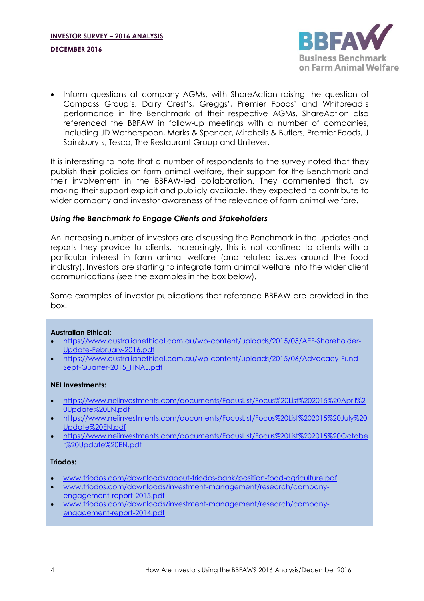

• Inform questions at company AGMs, with ShareAction raising the question of Compass Group's, Dairy Crest's, Greggs', Premier Foods' and Whitbread's performance in the Benchmark at their respective AGMs. ShareAction also referenced the BBFAW in follow-up meetings with a number of companies, including JD Wetherspoon, Marks & Spencer, Mitchells & Butlers, Premier Foods, J Sainsbury's, Tesco, The Restaurant Group and Unilever.

It is interesting to note that a number of respondents to the survey noted that they publish their policies on farm animal welfare, their support for the Benchmark and their involvement in the BBFAW-led collaboration. They commented that, by making their support explicit and publicly available, they expected to contribute to wider company and investor awareness of the relevance of farm animal welfare.

## *Using the Benchmark to Engage Clients and Stakeholders*

An increasing number of investors are discussing the Benchmark in the updates and reports they provide to clients. Increasingly, this is not confined to clients with a particular interest in farm animal welfare (and related issues around the food industry). Investors are starting to integrate farm animal welfare into the wider client communications (see the examples in the box below).

Some examples of investor publications that reference BBFAW are provided in the box.

## **Australian Ethical:**

- [https://www.australianethical.com.au/wp-content/uploads/2015/05/AEF-Shareholder-](https://www.australianethical.com.au/wp-content/uploads/2015/05/AEF-Shareholder-Update-February-2016.pdf)[Update-February-2016.pdf](https://www.australianethical.com.au/wp-content/uploads/2015/05/AEF-Shareholder-Update-February-2016.pdf)
- [https://www.australianethical.com.au/wp-content/uploads/2015/06/Advocacy-Fund-](https://www.australianethical.com.au/wp-content/uploads/2015/06/Advocacy-Fund-Sept-Quarter-2015_FINAL.pdf)Sept-Quarter-2015 FINAL.pdf

#### **NEI Investments:**

- [https://www.neiinvestments.com/documents/FocusList/Focus%20List%202015%20April%2](https://www.neiinvestments.com/documents/FocusList/Focus%20List%202015%20April%20Update%20EN.pdf) [0Update%20EN.pdf](https://www.neiinvestments.com/documents/FocusList/Focus%20List%202015%20April%20Update%20EN.pdf)
- [https://www.neiinvestments.com/documents/FocusList/Focus%20List%202015%20July%20](https://www.neiinvestments.com/documents/FocusList/Focus%20List%202015%20July%20Update%20EN.pdf) [Update%20EN.pdf](https://www.neiinvestments.com/documents/FocusList/Focus%20List%202015%20July%20Update%20EN.pdf)
- [https://www.neiinvestments.com/documents/FocusList/Focus%20List%202015%20Octobe](https://www.neiinvestments.com/documents/FocusList/Focus%20List%202015%20October%20Update%20EN.pdf) [r%20Update%20EN.pdf](https://www.neiinvestments.com/documents/FocusList/Focus%20List%202015%20October%20Update%20EN.pdf)

## **Triodos:**

- [www.triodos.com/downloads/about-triodos-bank/position-food-agriculture.pdf](http://www.triodos.com/downloads/about-triodos-bank/position-food-agriculture.pdf)
- [www.triodos.com/downloads/investment-management/research/company](http://www.triodos.com/downloads/investment-management/research/company-engagement-report-2015.pdf)[engagement-report-2015.pdf](http://www.triodos.com/downloads/investment-management/research/company-engagement-report-2015.pdf)
- [www.triodos.com/downloads/investment-management/research/company](http://www.triodos.com/downloads/investment-management/research/company-engagement-report-2014.pdf)[engagement-report-2014.pdf](http://www.triodos.com/downloads/investment-management/research/company-engagement-report-2014.pdf)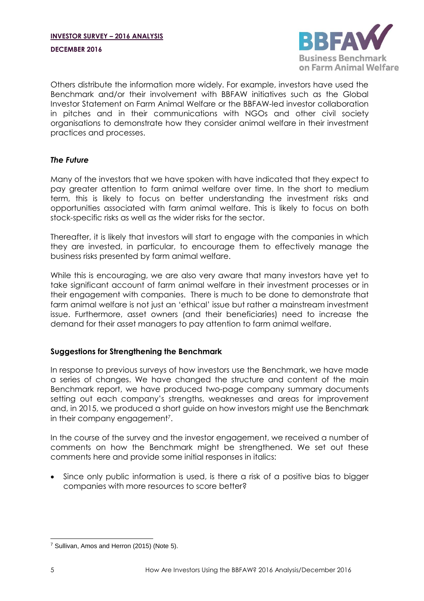#### **DECEMBER 2016**



Others distribute the information more widely. For example, investors have used the Benchmark and/or their involvement with BBFAW initiatives such as the Global Investor Statement on Farm Animal Welfare or the BBFAW-led investor collaboration in pitches and in their communications with NGOs and other civil society organisations to demonstrate how they consider animal welfare in their investment practices and processes.

## *The Future*

Many of the investors that we have spoken with have indicated that they expect to pay greater attention to farm animal welfare over time. In the short to medium term, this is likely to focus on better understanding the investment risks and opportunities associated with farm animal welfare. This is likely to focus on both stock-specific risks as well as the wider risks for the sector.

Thereafter, it is likely that investors will start to engage with the companies in which they are invested, in particular, to encourage them to effectively manage the business risks presented by farm animal welfare.

While this is encouraging, we are also very aware that many investors have yet to take significant account of farm animal welfare in their investment processes or in their engagement with companies. There is much to be done to demonstrate that farm animal welfare is not just an 'ethical' issue but rather a mainstream investment issue. Furthermore, asset owners (and their beneficiaries) need to increase the demand for their asset managers to pay attention to farm animal welfare.

# **Suggestions for Strengthening the Benchmark**

In response to previous surveys of how investors use the Benchmark, we have made a series of changes. We have changed the structure and content of the main Benchmark report, we have produced two-page company summary documents setting out each company's strengths, weaknesses and areas for improvement and, in 2015, we produced a short guide on how investors might use the Benchmark in their company engagement<sup>7</sup>.

In the course of the survey and the investor engagement, we received a number of comments on how the Benchmark might be strengthened. We set out these comments here and provide some initial responses in italics:

 Since only public information is used, is there a risk of a positive bias to bigger companies with more resources to score better?

 <sup>7</sup> Sullivan, Amos and Herron (2015) (Note [5\)](#page-2-0).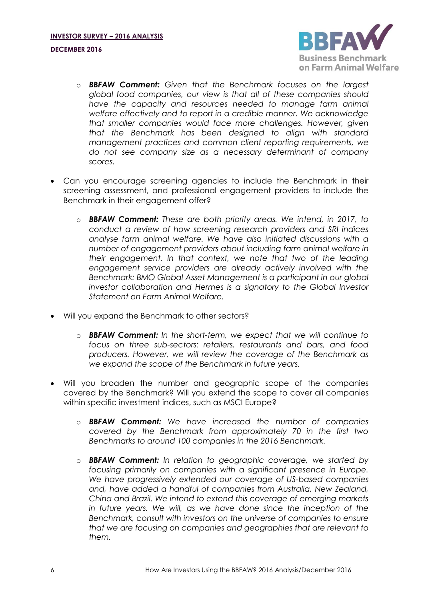

- o *BBFAW Comment: Given that the Benchmark focuses on the largest global food companies, our view is that all of these companies should have the capacity and resources needed to manage farm animal welfare effectively and to report in a credible manner. We acknowledge that smaller companies would face more challenges. However, given that the Benchmark has been designed to align with standard management practices and common client reporting requirements, we do not see company size as a necessary determinant of company scores.*
- Can you encourage screening agencies to include the Benchmark in their screening assessment, and professional engagement providers to include the Benchmark in their engagement offer?
	- o *BBFAW Comment: These are both priority areas. We intend, in 2017, to conduct a review of how screening research providers and SRI indices analyse farm animal welfare. We have also initiated discussions with a number of engagement providers about including farm animal welfare in their engagement. In that context, we note that two of the leading engagement service providers are already actively involved with the Benchmark: BMO Global Asset Management is a participant in our global investor collaboration and Hermes is a signatory to the Global Investor Statement on Farm Animal Welfare.*
- Will you expand the Benchmark to other sectors?
	- o *BBFAW Comment: In the short-term, we expect that we will continue to focus on three sub-sectors: retailers, restaurants and bars, and food producers. However, we will review the coverage of the Benchmark as we expand the scope of the Benchmark in future years.*
- Will you broaden the number and geographic scope of the companies covered by the Benchmark? Will you extend the scope to cover all companies within specific investment indices, such as MSCI Europe?
	- o *BBFAW Comment: We have increased the number of companies covered by the Benchmark from approximately 70 in the first two Benchmarks to around 100 companies in the 2016 Benchmark.*
	- o *BBFAW Comment: In relation to geographic coverage, we started by focusing primarily on companies with a significant presence in Europe. We have progressively extended our coverage of US-based companies and, have added a handful of companies from Australia, New Zealand, China and Brazil. We intend to extend this coverage of emerging markets in future years. We will, as we have done since the inception of the Benchmark, consult with investors on the universe of companies to ensure that we are focusing on companies and geographies that are relevant to them.*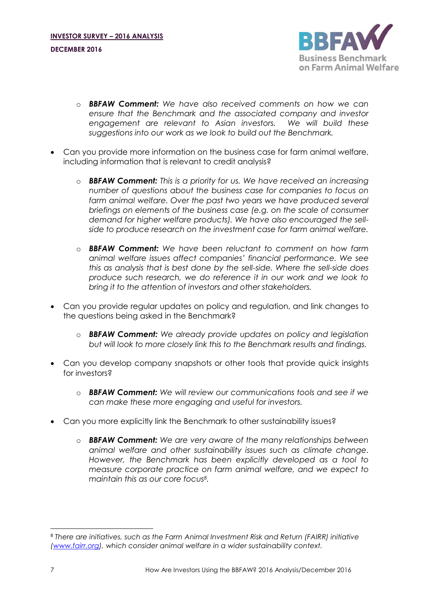

- o *BBFAW Comment: We have also received comments on how we can ensure that the Benchmark and the associated company and investor engagement are relevant to Asian investors. We will build these suggestions into our work as we look to build out the Benchmark.*
- Can you provide more information on the business case for farm animal welfare, including information that is relevant to credit analysis?
	- o *BBFAW Comment: This is a priority for us. We have received an increasing number of questions about the business case for companies to focus on*  farm animal welfare. Over the past two years we have produced several *briefings on elements of the business case (e.g. on the scale of consumer demand for higher welfare products). We have also encouraged the sellside to produce research on the investment case for farm animal welfare.*
	- o *BBFAW Comment: We have been reluctant to comment on how farm animal welfare issues affect companies' financial performance. We see this as analysis that is best done by the sell-side. Where the sell-side does produce such research, we do reference it in our work and we look to bring it to the attention of investors and other stakeholders.*
- Can you provide regular updates on policy and regulation, and link changes to the questions being asked in the Benchmark?
	- o *BBFAW Comment: We already provide updates on policy and legislation but will look to more closely link this to the Benchmark results and findings.*
- Can you develop company snapshots or other tools that provide quick insights for investors?
	- o *BBFAW Comment: We will review our communications tools and see if we can make these more engaging and useful for investors.*
- Can you more explicitly link the Benchmark to other sustainability issues?
	- o *BBFAW Comment: We are very aware of the many relationships between animal welfare and other sustainability issues such as climate change. However, the Benchmark has been explicitly developed as a tool to measure corporate practice on farm animal welfare, and we expect to maintain this as our core focus<sup>8</sup> .*

 $\overline{a}$ 

<sup>8</sup> *There are initiatives, such as the Farm Animal Investment Risk and Return (FAIRR) initiative [\(www.fairr.org\)](http://www.fairr.org/), which consider animal welfare in a wider sustainability context.*